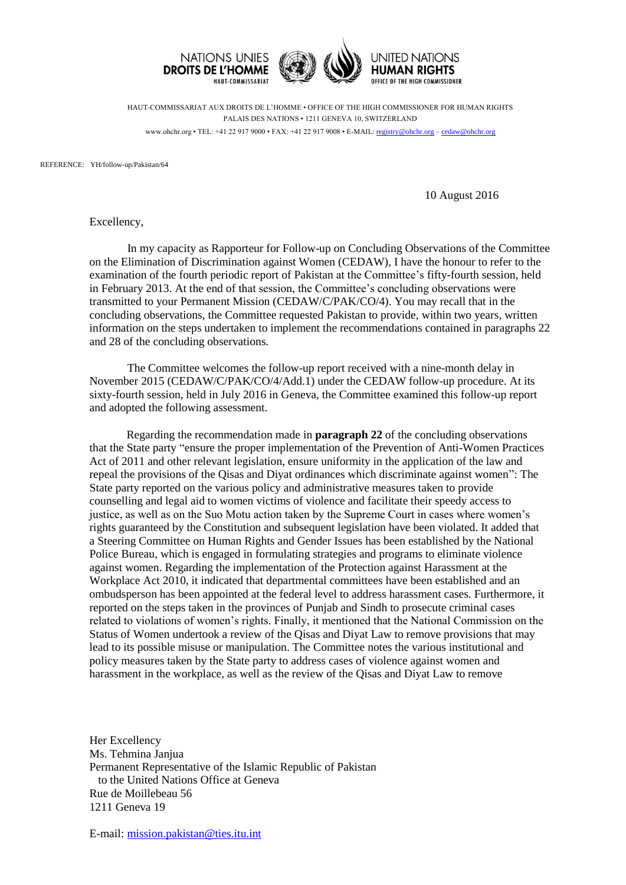

HAUT-COMMISSARIAT AUX DROITS DE L'HOMME • OFFICE OF THE HIGH COMMISSIONER FOR HUMAN RIGHTS PALAIS DES NATIONS • 1211 GENEVA 10, SWITZERLAND www.ohchr.org • TEL: +41 22 917 9000 • FAX: +41 22 917 9008 • E-MAIL: [registry@ohchr.org](mailto:registry@ohchr.org) – [cedaw@ohchr.org](mailto:cedaw@ohchr.org)

REFERENCE: YH/follow-up/Pakistan/64

10 August 2016

Excellency,

In my capacity as Rapporteur for Follow-up on Concluding Observations of the Committee on the Elimination of Discrimination against Women (CEDAW), I have the honour to refer to the examination of the fourth periodic report of Pakistan at the Committee's fifty-fourth session, held in February 2013. At the end of that session, the Committee's concluding observations were transmitted to your Permanent Mission (CEDAW/C/PAK/CO/4). You may recall that in the concluding observations, the Committee requested Pakistan to provide, within two years, written information on the steps undertaken to implement the recommendations contained in paragraphs 22 and 28 of the concluding observations.

The Committee welcomes the follow-up report received with a nine-month delay in November 2015 (CEDAW/C/PAK/CO/4/Add.1) under the CEDAW follow-up procedure. At its sixty-fourth session, held in July 2016 in Geneva, the Committee examined this follow-up report and adopted the following assessment.

Regarding the recommendation made in **paragraph 22** of the concluding observations that the State party "ensure the proper implementation of the Prevention of Anti-Women Practices Act of 2011 and other relevant legislation, ensure uniformity in the application of the law and repeal the provisions of the Qisas and Diyat ordinances which discriminate against women": The State party reported on the various policy and administrative measures taken to provide counselling and legal aid to women victims of violence and facilitate their speedy access to justice, as well as on the Suo Motu action taken by the Supreme Court in cases where women's rights guaranteed by the Constitution and subsequent legislation have been violated. It added that a Steering Committee on Human Rights and Gender Issues has been established by the National Police Bureau, which is engaged in formulating strategies and programs to eliminate violence against women. Regarding the implementation of the Protection against Harassment at the Workplace Act 2010, it indicated that departmental committees have been established and an ombudsperson has been appointed at the federal level to address harassment cases. Furthermore, it reported on the steps taken in the provinces of Punjab and Sindh to prosecute criminal cases related to violations of women's rights. Finally, it mentioned that the National Commission on the Status of Women undertook a review of the Qisas and Diyat Law to remove provisions that may lead to its possible misuse or manipulation. The Committee notes the various institutional and policy measures taken by the State party to address cases of violence against women and harassment in the workplace, as well as the review of the Qisas and Diyat Law to remove

Her Excellency Ms. Tehmina Janjua Permanent Representative of the Islamic Republic of Pakistan to the United Nations Office at Geneva Rue de Moillebeau 56 1211 Geneva 19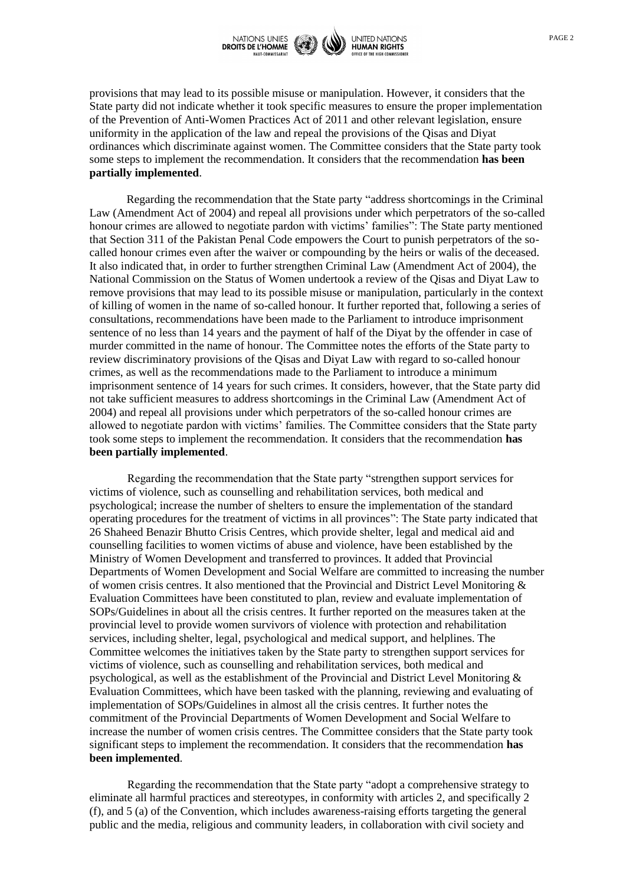

provisions that may lead to its possible misuse or manipulation. However, it considers that the State party did not indicate whether it took specific measures to ensure the proper implementation of the Prevention of Anti-Women Practices Act of 2011 and other relevant legislation, ensure uniformity in the application of the law and repeal the provisions of the Qisas and Diyat ordinances which discriminate against women. The Committee considers that the State party took some steps to implement the recommendation. It considers that the recommendation **has been partially implemented**.

Regarding the recommendation that the State party "address shortcomings in the Criminal Law (Amendment Act of 2004) and repeal all provisions under which perpetrators of the so-called honour crimes are allowed to negotiate pardon with victims' families": The State party mentioned that Section 311 of the Pakistan Penal Code empowers the Court to punish perpetrators of the socalled honour crimes even after the waiver or compounding by the heirs or walis of the deceased. It also indicated that, in order to further strengthen Criminal Law (Amendment Act of 2004), the National Commission on the Status of Women undertook a review of the Qisas and Diyat Law to remove provisions that may lead to its possible misuse or manipulation, particularly in the context of killing of women in the name of so-called honour. It further reported that, following a series of consultations, recommendations have been made to the Parliament to introduce imprisonment sentence of no less than 14 years and the payment of half of the Diyat by the offender in case of murder committed in the name of honour. The Committee notes the efforts of the State party to review discriminatory provisions of the Qisas and Diyat Law with regard to so-called honour crimes, as well as the recommendations made to the Parliament to introduce a minimum imprisonment sentence of 14 years for such crimes. It considers, however, that the State party did not take sufficient measures to address shortcomings in the Criminal Law (Amendment Act of 2004) and repeal all provisions under which perpetrators of the so-called honour crimes are allowed to negotiate pardon with victims' families. The Committee considers that the State party took some steps to implement the recommendation. It considers that the recommendation **has been partially implemented**.

Regarding the recommendation that the State party "strengthen support services for victims of violence, such as counselling and rehabilitation services, both medical and psychological; increase the number of shelters to ensure the implementation of the standard operating procedures for the treatment of victims in all provinces": The State party indicated that 26 Shaheed Benazir Bhutto Crisis Centres, which provide shelter, legal and medical aid and counselling facilities to women victims of abuse and violence, have been established by the Ministry of Women Development and transferred to provinces. It added that Provincial Departments of Women Development and Social Welfare are committed to increasing the number of women crisis centres. It also mentioned that the Provincial and District Level Monitoring & Evaluation Committees have been constituted to plan, review and evaluate implementation of SOPs/Guidelines in about all the crisis centres. It further reported on the measures taken at the provincial level to provide women survivors of violence with protection and rehabilitation services, including shelter, legal, psychological and medical support, and helplines. The Committee welcomes the initiatives taken by the State party to strengthen support services for victims of violence, such as counselling and rehabilitation services, both medical and psychological, as well as the establishment of the Provincial and District Level Monitoring & Evaluation Committees, which have been tasked with the planning, reviewing and evaluating of implementation of SOPs/Guidelines in almost all the crisis centres. It further notes the commitment of the Provincial Departments of Women Development and Social Welfare to increase the number of women crisis centres. The Committee considers that the State party took significant steps to implement the recommendation. It considers that the recommendation **has been implemented**.

Regarding the recommendation that the State party "adopt a comprehensive strategy to eliminate all harmful practices and stereotypes, in conformity with articles 2, and specifically 2 (f), and 5 (a) of the Convention, which includes awareness-raising efforts targeting the general public and the media, religious and community leaders, in collaboration with civil society and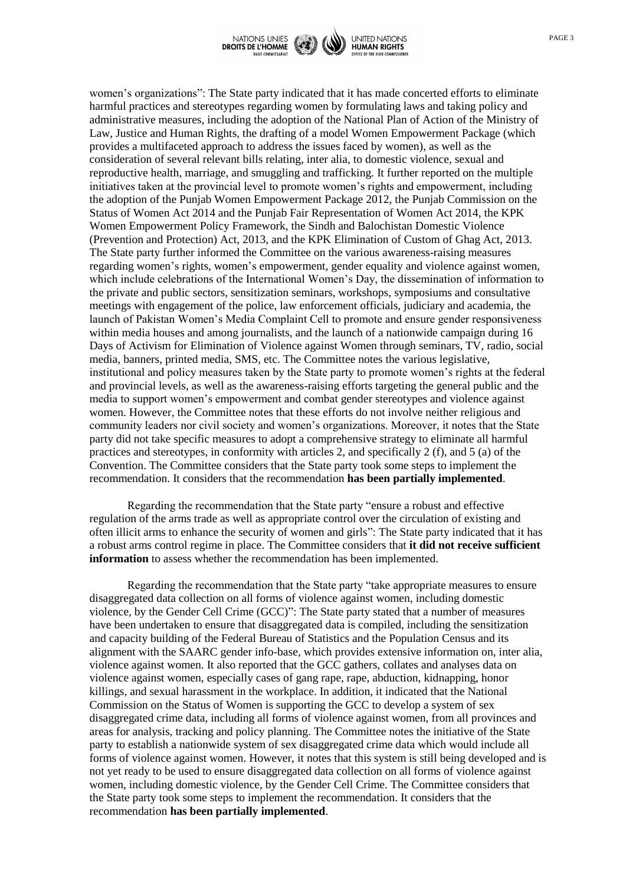

women's organizations": The State party indicated that it has made concerted efforts to eliminate harmful practices and stereotypes regarding women by formulating laws and taking policy and administrative measures, including the adoption of the National Plan of Action of the Ministry of Law, Justice and Human Rights, the drafting of a model Women Empowerment Package (which provides a multifaceted approach to address the issues faced by women), as well as the consideration of several relevant bills relating, inter alia, to domestic violence, sexual and reproductive health, marriage, and smuggling and trafficking. It further reported on the multiple initiatives taken at the provincial level to promote women's rights and empowerment, including the adoption of the Punjab Women Empowerment Package 2012, the Punjab Commission on the Status of Women Act 2014 and the Punjab Fair Representation of Women Act 2014, the KPK Women Empowerment Policy Framework, the Sindh and Balochistan Domestic Violence (Prevention and Protection) Act, 2013, and the KPK Elimination of Custom of Ghag Act, 2013. The State party further informed the Committee on the various awareness-raising measures regarding women's rights, women's empowerment, gender equality and violence against women, which include celebrations of the International Women's Day, the dissemination of information to the private and public sectors, sensitization seminars, workshops, symposiums and consultative meetings with engagement of the police, law enforcement officials, judiciary and academia, the launch of Pakistan Women's Media Complaint Cell to promote and ensure gender responsiveness within media houses and among journalists, and the launch of a nationwide campaign during 16 Days of Activism for Elimination of Violence against Women through seminars, TV, radio, social media, banners, printed media, SMS, etc. The Committee notes the various legislative, institutional and policy measures taken by the State party to promote women's rights at the federal and provincial levels, as well as the awareness-raising efforts targeting the general public and the media to support women's empowerment and combat gender stereotypes and violence against women. However, the Committee notes that these efforts do not involve neither religious and community leaders nor civil society and women's organizations. Moreover, it notes that the State party did not take specific measures to adopt a comprehensive strategy to eliminate all harmful practices and stereotypes, in conformity with articles 2, and specifically 2 (f), and 5 (a) of the Convention. The Committee considers that the State party took some steps to implement the recommendation. It considers that the recommendation **has been partially implemented**.

Regarding the recommendation that the State party "ensure a robust and effective regulation of the arms trade as well as appropriate control over the circulation of existing and often illicit arms to enhance the security of women and girls": The State party indicated that it has a robust arms control regime in place. The Committee considers that **it did not receive sufficient information** to assess whether the recommendation has been implemented.

Regarding the recommendation that the State party "take appropriate measures to ensure disaggregated data collection on all forms of violence against women, including domestic violence, by the Gender Cell Crime (GCC)": The State party stated that a number of measures have been undertaken to ensure that disaggregated data is compiled, including the sensitization and capacity building of the Federal Bureau of Statistics and the Population Census and its alignment with the SAARC gender info-base, which provides extensive information on, inter alia, violence against women. It also reported that the GCC gathers, collates and analyses data on violence against women, especially cases of gang rape, rape, abduction, kidnapping, honor killings, and sexual harassment in the workplace. In addition, it indicated that the National Commission on the Status of Women is supporting the GCC to develop a system of sex disaggregated crime data, including all forms of violence against women, from all provinces and areas for analysis, tracking and policy planning. The Committee notes the initiative of the State party to establish a nationwide system of sex disaggregated crime data which would include all forms of violence against women. However, it notes that this system is still being developed and is not yet ready to be used to ensure disaggregated data collection on all forms of violence against women, including domestic violence, by the Gender Cell Crime. The Committee considers that the State party took some steps to implement the recommendation. It considers that the recommendation **has been partially implemented**.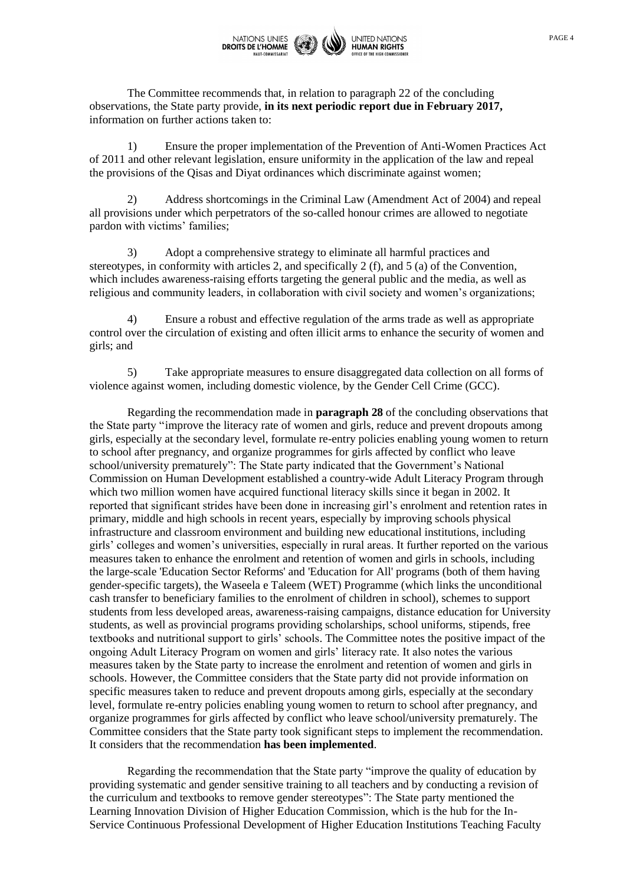

The Committee recommends that, in relation to paragraph 22 of the concluding observations, the State party provide, **in its next periodic report due in February 2017,** information on further actions taken to:

1) Ensure the proper implementation of the Prevention of Anti-Women Practices Act of 2011 and other relevant legislation, ensure uniformity in the application of the law and repeal the provisions of the Qisas and Diyat ordinances which discriminate against women;

2) Address shortcomings in the Criminal Law (Amendment Act of 2004) and repeal all provisions under which perpetrators of the so-called honour crimes are allowed to negotiate pardon with victims' families;

3) Adopt a comprehensive strategy to eliminate all harmful practices and stereotypes, in conformity with articles 2, and specifically 2 (f), and 5 (a) of the Convention, which includes awareness-raising efforts targeting the general public and the media, as well as religious and community leaders, in collaboration with civil society and women's organizations;

4) Ensure a robust and effective regulation of the arms trade as well as appropriate control over the circulation of existing and often illicit arms to enhance the security of women and girls; and

5) Take appropriate measures to ensure disaggregated data collection on all forms of violence against women, including domestic violence, by the Gender Cell Crime (GCC).

Regarding the recommendation made in **paragraph 28** of the concluding observations that the State party "improve the literacy rate of women and girls, reduce and prevent dropouts among girls, especially at the secondary level, formulate re-entry policies enabling young women to return to school after pregnancy, and organize programmes for girls affected by conflict who leave school/university prematurely": The State party indicated that the Government's National Commission on Human Development established a country-wide Adult Literacy Program through which two million women have acquired functional literacy skills since it began in 2002. It reported that significant strides have been done in increasing girl's enrolment and retention rates in primary, middle and high schools in recent years, especially by improving schools physical infrastructure and classroom environment and building new educational institutions, including girls' colleges and women's universities, especially in rural areas. It further reported on the various measures taken to enhance the enrolment and retention of women and girls in schools, including the large-scale 'Education Sector Reforms' and 'Education for All' programs (both of them having gender-specific targets), the Waseela e Taleem (WET) Programme (which links the unconditional cash transfer to beneficiary families to the enrolment of children in school), schemes to support students from less developed areas, awareness-raising campaigns, distance education for University students, as well as provincial programs providing scholarships, school uniforms, stipends, free textbooks and nutritional support to girls' schools. The Committee notes the positive impact of the ongoing Adult Literacy Program on women and girls' literacy rate. It also notes the various measures taken by the State party to increase the enrolment and retention of women and girls in schools. However, the Committee considers that the State party did not provide information on specific measures taken to reduce and prevent dropouts among girls, especially at the secondary level, formulate re-entry policies enabling young women to return to school after pregnancy, and organize programmes for girls affected by conflict who leave school/university prematurely. The Committee considers that the State party took significant steps to implement the recommendation. It considers that the recommendation **has been implemented**.

Regarding the recommendation that the State party "improve the quality of education by providing systematic and gender sensitive training to all teachers and by conducting a revision of the curriculum and textbooks to remove gender stereotypes": The State party mentioned the Learning Innovation Division of Higher Education Commission, which is the hub for the In-Service Continuous Professional Development of Higher Education Institutions Teaching Faculty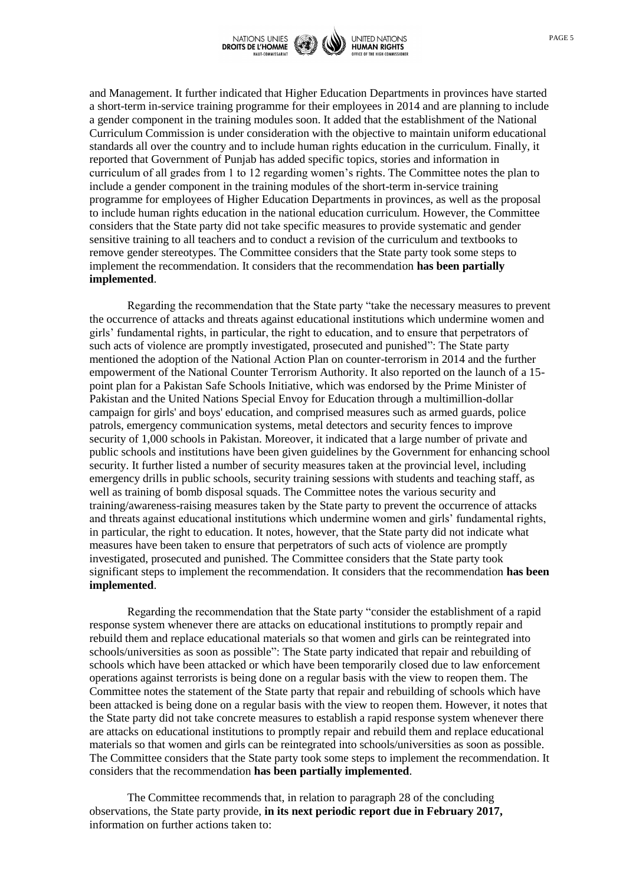

and Management. It further indicated that Higher Education Departments in provinces have started a short-term in-service training programme for their employees in 2014 and are planning to include a gender component in the training modules soon. It added that the establishment of the National Curriculum Commission is under consideration with the objective to maintain uniform educational standards all over the country and to include human rights education in the curriculum. Finally, it reported that Government of Punjab has added specific topics, stories and information in curriculum of all grades from 1 to 12 regarding women's rights. The Committee notes the plan to include a gender component in the training modules of the short-term in-service training programme for employees of Higher Education Departments in provinces, as well as the proposal to include human rights education in the national education curriculum. However, the Committee considers that the State party did not take specific measures to provide systematic and gender sensitive training to all teachers and to conduct a revision of the curriculum and textbooks to remove gender stereotypes. The Committee considers that the State party took some steps to implement the recommendation. It considers that the recommendation **has been partially implemented**.

Regarding the recommendation that the State party "take the necessary measures to prevent the occurrence of attacks and threats against educational institutions which undermine women and girls' fundamental rights, in particular, the right to education, and to ensure that perpetrators of such acts of violence are promptly investigated, prosecuted and punished": The State party mentioned the adoption of the National Action Plan on counter-terrorism in 2014 and the further empowerment of the National Counter Terrorism Authority. It also reported on the launch of a 15 point plan for a Pakistan Safe Schools Initiative, which was endorsed by the Prime Minister of Pakistan and the United Nations Special Envoy for Education through a multimillion-dollar campaign for girls' and boys' education, and comprised measures such as armed guards, police patrols, emergency communication systems, metal detectors and security fences to improve security of 1,000 schools in Pakistan. Moreover, it indicated that a large number of private and public schools and institutions have been given guidelines by the Government for enhancing school security. It further listed a number of security measures taken at the provincial level, including emergency drills in public schools, security training sessions with students and teaching staff, as well as training of bomb disposal squads. The Committee notes the various security and training/awareness-raising measures taken by the State party to prevent the occurrence of attacks and threats against educational institutions which undermine women and girls' fundamental rights, in particular, the right to education. It notes, however, that the State party did not indicate what measures have been taken to ensure that perpetrators of such acts of violence are promptly investigated, prosecuted and punished. The Committee considers that the State party took significant steps to implement the recommendation. It considers that the recommendation **has been implemented**.

Regarding the recommendation that the State party "consider the establishment of a rapid response system whenever there are attacks on educational institutions to promptly repair and rebuild them and replace educational materials so that women and girls can be reintegrated into schools/universities as soon as possible": The State party indicated that repair and rebuilding of schools which have been attacked or which have been temporarily closed due to law enforcement operations against terrorists is being done on a regular basis with the view to reopen them. The Committee notes the statement of the State party that repair and rebuilding of schools which have been attacked is being done on a regular basis with the view to reopen them. However, it notes that the State party did not take concrete measures to establish a rapid response system whenever there are attacks on educational institutions to promptly repair and rebuild them and replace educational materials so that women and girls can be reintegrated into schools/universities as soon as possible. The Committee considers that the State party took some steps to implement the recommendation. It considers that the recommendation **has been partially implemented**.

The Committee recommends that, in relation to paragraph 28 of the concluding observations, the State party provide, **in its next periodic report due in February 2017,** information on further actions taken to: